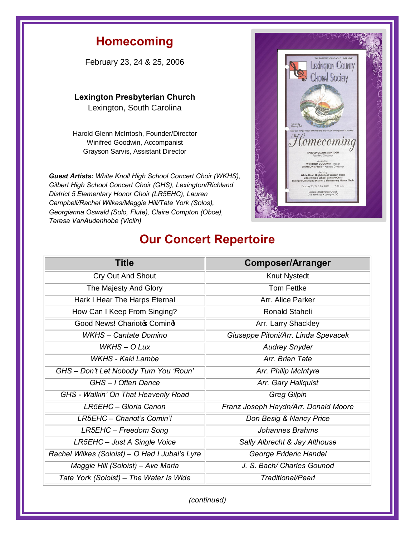## **Homecoming**

February 23, 24 & 25, 2006

**Lexington Presbyterian Church** 

Lexington, South Carolina

Harold Glenn McIntosh, Founder/Director Winifred Goodwin, Accompanist Grayson Sarvis, Assistant Director

*Guest Artists: White Knoll High School Concert Choir (WKHS), Gilbert High School Concert Choir (GHS), Lexington/Richland District 5 Elementary Honor Choir (LR5EHC), Lauren Campbell/Rachel Wilkes/Maggie Hill/Tate York (Solos), Georgianna Oswald (Solo, Flute), Claire Compton (Oboe), Teresa VanAudenhobe (Violin)*



## **Our Concert Repertoire**

| <b>Title</b>                                   | <b>Composer/Arranger</b>             |
|------------------------------------------------|--------------------------------------|
| <b>Cry Out And Shout</b>                       | Knut Nystedt                         |
| The Majesty And Glory                          | <b>Tom Fettke</b>                    |
| Hark I Hear The Harps Eternal                  | Arr. Alice Parker                    |
| How Can I Keep From Singing?                   | Ronald Staheli                       |
| Good News! Charioto Comind                     | Arr. Larry Shackley                  |
| <b>WKHS</b> - Cantate Domino                   | Giuseppe Pitoni/Arr. Linda Spevacek  |
| $WKHS - O$ Lux                                 | <b>Audrey Snyder</b>                 |
| WKHS - Kaki Lambe                              | Arr. Brian Tate                      |
| GHS - Don't Let Nobody Turn You 'Roun'         | Arr. Philip McIntyre                 |
| GHS - I Often Dance                            | Arr. Gary Hallquist                  |
| GHS - Walkin' On That Heavenly Road            | <b>Greg Gilpin</b>                   |
| LR5EHC - Gloria Canon                          | Franz Joseph Haydn/Arr. Donald Moore |
| LR5EHC - Chariot's Comin'!                     | Don Besig & Nancy Price              |
| LR5EHC - Freedom Song                          | Johannes Brahms                      |
| LR5EHC - Just A Single Voice                   | Sally Albrecht & Jay Althouse        |
| Rachel Wilkes (Soloist) - O Had I Jubal's Lyre | George Frideric Handel               |
| Maggie Hill (Soloist) - Ave Maria              | J. S. Bach/ Charles Gounod           |
| Tate York (Soloist) – The Water Is Wide        | Traditional/Pearl                    |

*(continued)*